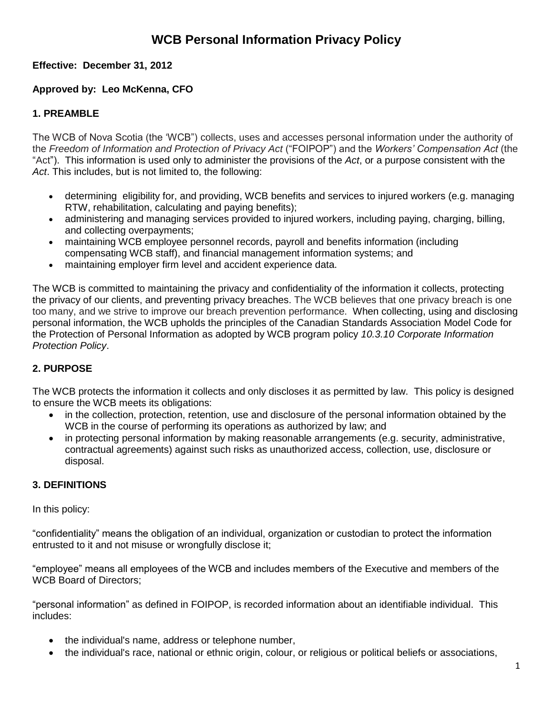### **Effective: December 31, 2012**

## **Approved by: Leo McKenna, CFO**

## **1. PREAMBLE**

The WCB of Nova Scotia (the "WCB") collects, uses and accesses personal information under the authority of the *Freedom of Information and Protection of Privacy Act* ("FOIPOP") and the *Workers' Compensation Act* (the "Act"). This information is used only to administer the provisions of the *Act*, or a purpose consistent with the *Act*. This includes, but is not limited to, the following:

- determining eligibility for, and providing, WCB benefits and services to injured workers (e.g. managing RTW, rehabilitation, calculating and paying benefits);
- administering and managing services provided to injured workers, including paying, charging, billing, and collecting overpayments;
- maintaining WCB employee personnel records, payroll and benefits information (including compensating WCB staff), and financial management information systems; and
- maintaining employer firm level and accident experience data.

The WCB is committed to maintaining the privacy and confidentiality of the information it collects, protecting the privacy of our clients, and preventing privacy breaches. The WCB believes that one privacy breach is one too many, and we strive to improve our breach prevention performance. When collecting, using and disclosing personal information, the WCB upholds the principles of the Canadian Standards Association Model Code for the Protection of Personal Information as adopted by WCB program policy *10.3.10 Corporate Information Protection Policy*.

### **2. PURPOSE**

The WCB protects the information it collects and only discloses it as permitted by law. This policy is designed to ensure the WCB meets its obligations:

- in the collection, protection, retention, use and disclosure of the personal information obtained by the WCB in the course of performing its operations as authorized by law; and
- in protecting personal information by making reasonable arrangements (e.g. security, administrative, contractual agreements) against such risks as unauthorized access, collection, use, disclosure or disposal.

### **3. DEFINITIONS**

In this policy:

"confidentiality" means the obligation of an individual, organization or custodian to protect the information entrusted to it and not misuse or wrongfully disclose it;

"employee" means all employees of the WCB and includes members of the Executive and members of the WCB Board of Directors;

"personal information" as defined in FOIPOP, is recorded information about an identifiable individual. This includes:

- the individual's name, address or telephone number,
- the individual's race, national or ethnic origin, colour, or religious or political beliefs or associations,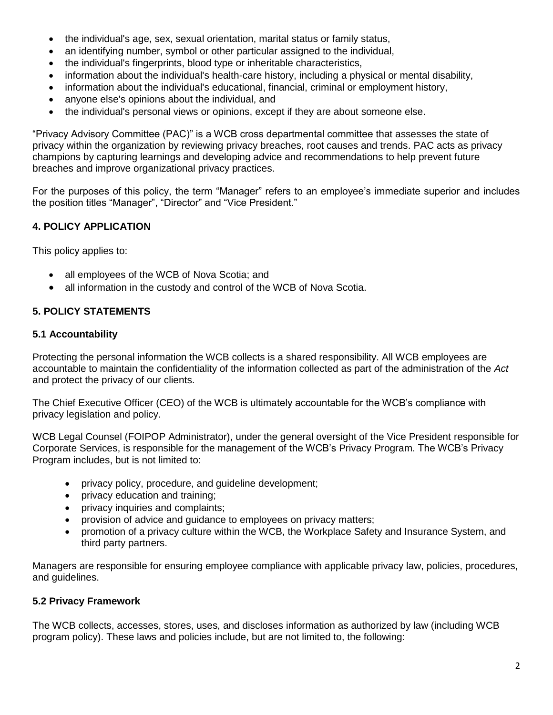- the individual's age, sex, sexual orientation, marital status or family status,
- an identifying number, symbol or other particular assigned to the individual,
- the individual's fingerprints, blood type or inheritable characteristics,
- information about the individual's health-care history, including a physical or mental disability,
- information about the individual's educational, financial, criminal or employment history,
- anyone else's opinions about the individual, and
- the individual's personal views or opinions, except if they are about someone else.

"Privacy Advisory Committee (PAC)" is a WCB cross departmental committee that assesses the state of privacy within the organization by reviewing privacy breaches, root causes and trends. PAC acts as privacy champions by capturing learnings and developing advice and recommendations to help prevent future breaches and improve organizational privacy practices.

For the purposes of this policy, the term "Manager" refers to an employee"s immediate superior and includes the position titles "Manager", "Director" and "Vice President."

### **4. POLICY APPLICATION**

This policy applies to:

- all employees of the WCB of Nova Scotia; and
- all information in the custody and control of the WCB of Nova Scotia.

### **5. POLICY STATEMENTS**

#### **5.1 Accountability**

Protecting the personal information the WCB collects is a shared responsibility. All WCB employees are accountable to maintain the confidentiality of the information collected as part of the administration of the *Act* and protect the privacy of our clients.

The Chief Executive Officer (CEO) of the WCB is ultimately accountable for the WCB"s compliance with privacy legislation and policy.

WCB Legal Counsel (FOIPOP Administrator), under the general oversight of the Vice President responsible for Corporate Services, is responsible for the management of the WCB"s Privacy Program. The WCB"s Privacy Program includes, but is not limited to:

- privacy policy, procedure, and guideline development;
- privacy education and training;
- privacy inquiries and complaints;
- provision of advice and guidance to employees on privacy matters;
- promotion of a privacy culture within the WCB, the Workplace Safety and Insurance System, and third party partners.

Managers are responsible for ensuring employee compliance with applicable privacy law, policies, procedures, and guidelines.

### **5.2 Privacy Framework**

The WCB collects, accesses, stores, uses, and discloses information as authorized by law (including WCB program policy). These laws and policies include, but are not limited to, the following: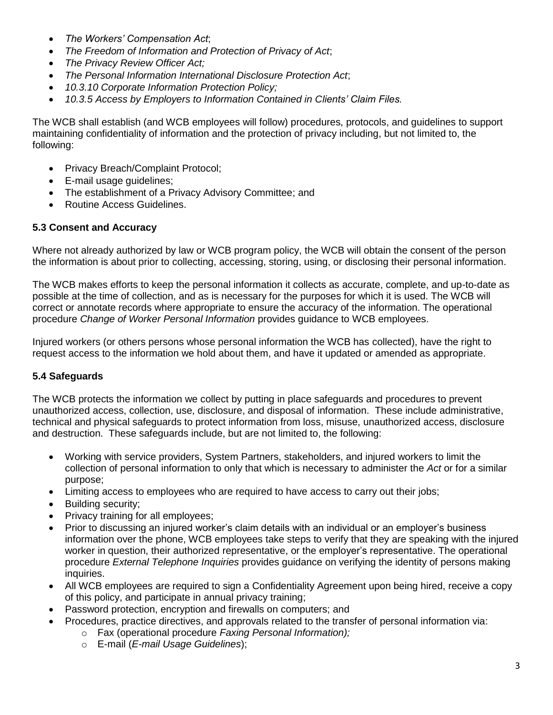- *The Workers' Compensation Act*;
- *The Freedom of Information and Protection of Privacy of Act*;
- *The Privacy Review Officer Act;*
- *The Personal Information International Disclosure Protection Act*;
- *10.3.10 Corporate Information Protection Policy;*
- *10.3.5 Access by Employers to Information Contained in Clients' Claim Files.*

The WCB shall establish (and WCB employees will follow) procedures, protocols, and guidelines to support maintaining confidentiality of information and the protection of privacy including, but not limited to, the following:

- Privacy Breach/Complaint Protocol;
- E-mail usage guidelines;
- The establishment of a Privacy Advisory Committee; and
- Routine Access Guidelines.

### **5.3 Consent and Accuracy**

Where not already authorized by law or WCB program policy, the WCB will obtain the consent of the person the information is about prior to collecting, accessing, storing, using, or disclosing their personal information.

The WCB makes efforts to keep the personal information it collects as accurate, complete, and up-to-date as possible at the time of collection, and as is necessary for the purposes for which it is used. The WCB will correct or annotate records where appropriate to ensure the accuracy of the information. The operational procedure *Change of Worker Personal Information* provides guidance to WCB employees.

Injured workers (or others persons whose personal information the WCB has collected), have the right to request access to the information we hold about them, and have it updated or amended as appropriate.

### **5.4 Safeguards**

The WCB protects the information we collect by putting in place safeguards and procedures to prevent unauthorized access, collection, use, disclosure, and disposal of information. These include administrative, technical and physical safeguards to protect information from loss, misuse, unauthorized access, disclosure and destruction. These safeguards include, but are not limited to, the following:

- Working with service providers, System Partners, stakeholders, and injured workers to limit the collection of personal information to only that which is necessary to administer the *Act* or for a similar purpose;
- Limiting access to employees who are required to have access to carry out their jobs;
- Building security;
- Privacy training for all employees;
- Prior to discussing an injured worker"s claim details with an individual or an employer"s business information over the phone, WCB employees take steps to verify that they are speaking with the injured worker in question, their authorized representative, or the employer"s representative. The operational procedure *External Telephone Inquiries* provides guidance on verifying the identity of persons making inquiries.
- All WCB employees are required to sign a Confidentiality Agreement upon being hired, receive a copy of this policy, and participate in annual privacy training;
- Password protection, encryption and firewalls on computers; and
- Procedures, practice directives, and approvals related to the transfer of personal information via:
	- o Fax (operational procedure *Faxing Personal Information);*
	- o E-mail (*E-mail Usage Guidelines*);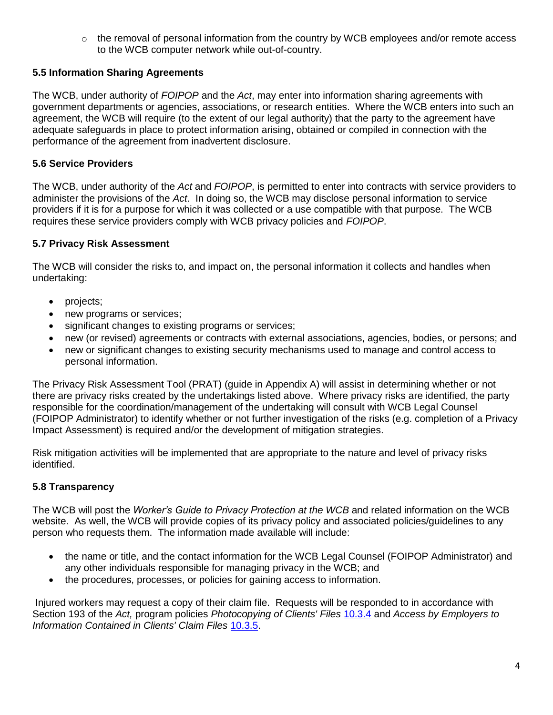$\circ$  the removal of personal information from the country by WCB employees and/or remote access to the WCB computer network while out-of-country.

## **5.5 Information Sharing Agreements**

The WCB, under authority of *FOIPOP* and the *Act*, may enter into information sharing agreements with government departments or agencies, associations, or research entities. Where the WCB enters into such an agreement, the WCB will require (to the extent of our legal authority) that the party to the agreement have adequate safeguards in place to protect information arising, obtained or compiled in connection with the performance of the agreement from inadvertent disclosure.

### **5.6 Service Providers**

The WCB, under authority of the *Act* and *FOIPOP*, is permitted to enter into contracts with service providers to administer the provisions of the *Act*. In doing so, the WCB may disclose personal information to service providers if it is for a purpose for which it was collected or a use compatible with that purpose. The WCB requires these service providers comply with WCB privacy policies and *FOIPOP*.

### **5.7 Privacy Risk Assessment**

The WCB will consider the risks to, and impact on, the personal information it collects and handles when undertaking:

- projects;
- new programs or services;
- significant changes to existing programs or services;
- new (or revised) agreements or contracts with external associations, agencies, bodies, or persons; and
- new or significant changes to existing security mechanisms used to manage and control access to personal information.

The Privacy Risk Assessment Tool (PRAT) (guide in Appendix A) will assist in determining whether or not there are privacy risks created by the undertakings listed above. Where privacy risks are identified, the party responsible for the coordination/management of the undertaking will consult with WCB Legal Counsel (FOIPOP Administrator) to identify whether or not further investigation of the risks (e.g. completion of a Privacy Impact Assessment) is required and/or the development of mitigation strategies.

Risk mitigation activities will be implemented that are appropriate to the nature and level of privacy risks identified.

## **5.8 Transparency**

The WCB will post the *Worker's Guide to Privacy Protection at the WCB* and related information on the WCB website. As well, the WCB will provide copies of its privacy policy and associated policies/guidelines to any person who requests them. The information made available will include:

- the name or title, and the contact information for the WCB Legal Counsel (FOIPOP Administrator) and any other individuals responsible for managing privacy in the WCB; and
- the procedures, processes, or policies for gaining access to information.

Injured workers may request a copy of their claim file. Requests will be responded to in accordance with Section 193 of the *Act,* program policies *Photocopying of Clients' Files* [10.3.4](http://www.wcb.ns.ca/policy/index_e.aspx?DetailID=1480) and *Access by Employers to Information Contained in Clients' Claim Files* [10.3.5.](http://www.wcb.ns.ca/policy/index_e.aspx?DetailID=1481)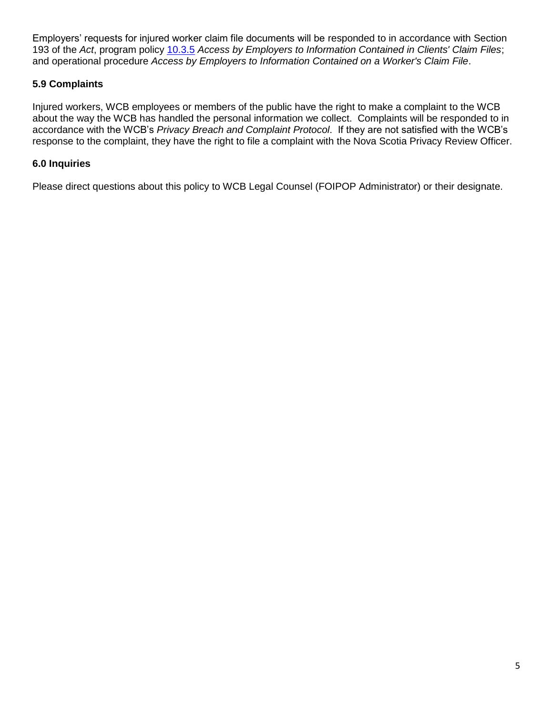Employers' requests for injured worker claim file documents will be responded to in accordance with Section 193 of the *Act*, program policy [10.3.5](http://www.wcb.ns.ca/policy/index_e.aspx?DetailID=1481) *Access by Employers to Information Contained in Clients' Claim Files*; and operational procedure *Access by Employers to Information Contained on a Worker's Claim File*.

### **5.9 Complaints**

Injured workers, WCB employees or members of the public have the right to make a complaint to the WCB about the way the WCB has handled the personal information we collect. Complaints will be responded to in accordance with the WCB"s *Privacy Breach and Complaint Protocol*. If they are not satisfied with the WCB"s response to the complaint, they have the right to file a complaint with the Nova Scotia Privacy Review Officer.

### **6.0 Inquiries**

Please direct questions about this policy to WCB Legal Counsel (FOIPOP Administrator) or their designate.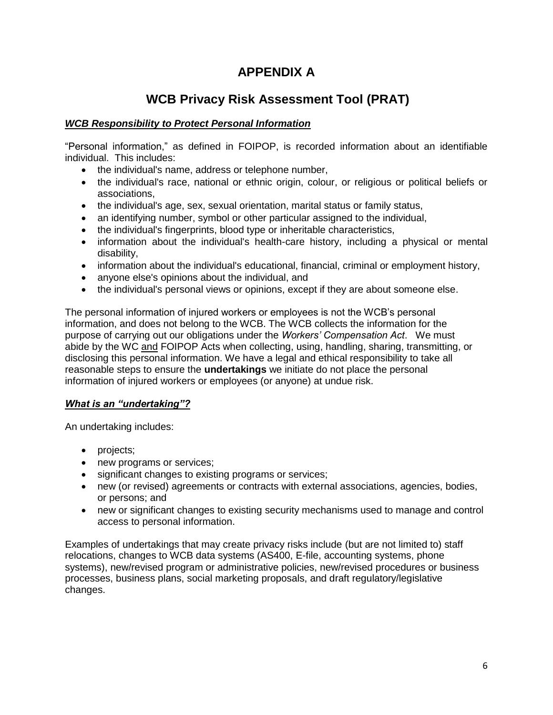## **APPENDIX A**

# **WCB Privacy Risk Assessment Tool (PRAT)**

### *WCB Responsibility to Protect Personal Information*

"Personal information," as defined in FOIPOP, is recorded information about an identifiable individual. This includes:

- the individual's name, address or telephone number,
- the individual's race, national or ethnic origin, colour, or religious or political beliefs or associations,
- the individual's age, sex, sexual orientation, marital status or family status,
- an identifying number, symbol or other particular assigned to the individual,
- the individual's fingerprints, blood type or inheritable characteristics,
- information about the individual's health-care history, including a physical or mental disability,
- information about the individual's educational, financial, criminal or employment history,
- anyone else's opinions about the individual, and
- the individual's personal views or opinions, except if they are about someone else.

The personal information of injured workers or employees is not the WCB"s personal information, and does not belong to the WCB. The WCB collects the information for the purpose of carrying out our obligations under the *Workers' Compensation Act*. We must abide by the WC and FOIPOP Acts when collecting, using, handling, sharing, transmitting, or disclosing this personal information. We have a legal and ethical responsibility to take all reasonable steps to ensure the **undertakings** we initiate do not place the personal information of injured workers or employees (or anyone) at undue risk.

### *What is an "undertaking"?*

An undertaking includes:

- projects;
- new programs or services;
- significant changes to existing programs or services;
- new (or revised) agreements or contracts with external associations, agencies, bodies, or persons; and
- new or significant changes to existing security mechanisms used to manage and control access to personal information.

Examples of undertakings that may create privacy risks include (but are not limited to) staff relocations, changes to WCB data systems (AS400, E-file, accounting systems, phone systems), new/revised program or administrative policies, new/revised procedures or business processes, business plans, social marketing proposals, and draft regulatory/legislative changes.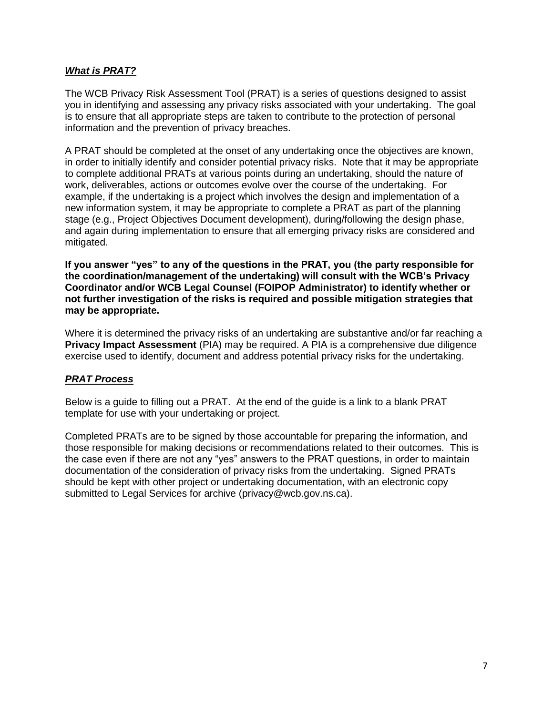### *What is PRAT?*

The WCB Privacy Risk Assessment Tool (PRAT) is a series of questions designed to assist you in identifying and assessing any privacy risks associated with your undertaking. The goal is to ensure that all appropriate steps are taken to contribute to the protection of personal information and the prevention of privacy breaches.

A PRAT should be completed at the onset of any undertaking once the objectives are known, in order to initially identify and consider potential privacy risks. Note that it may be appropriate to complete additional PRATs at various points during an undertaking, should the nature of work, deliverables, actions or outcomes evolve over the course of the undertaking. For example, if the undertaking is a project which involves the design and implementation of a new information system, it may be appropriate to complete a PRAT as part of the planning stage (e.g., Project Objectives Document development), during/following the design phase, and again during implementation to ensure that all emerging privacy risks are considered and mitigated.

**If you answer "yes" to any of the questions in the PRAT, you (the party responsible for the coordination/management of the undertaking) will consult with the WCB's Privacy Coordinator and/or WCB Legal Counsel (FOIPOP Administrator) to identify whether or not further investigation of the risks is required and possible mitigation strategies that may be appropriate.** 

Where it is determined the privacy risks of an undertaking are substantive and/or far reaching a **Privacy Impact Assessment** (PIA) may be required. A PIA is a comprehensive due diligence exercise used to identify, document and address potential privacy risks for the undertaking.

### *PRAT Process*

Below is a guide to filling out a PRAT. At the end of the guide is a link to a blank PRAT template for use with your undertaking or project.

Completed PRATs are to be signed by those accountable for preparing the information, and those responsible for making decisions or recommendations related to their outcomes. This is the case even if there are not any "yes" answers to the PRAT questions, in order to maintain documentation of the consideration of privacy risks from the undertaking. Signed PRATs should be kept with other project or undertaking documentation, with an electronic copy submitted to Legal Services for archive (privacy@wcb.gov.ns.ca).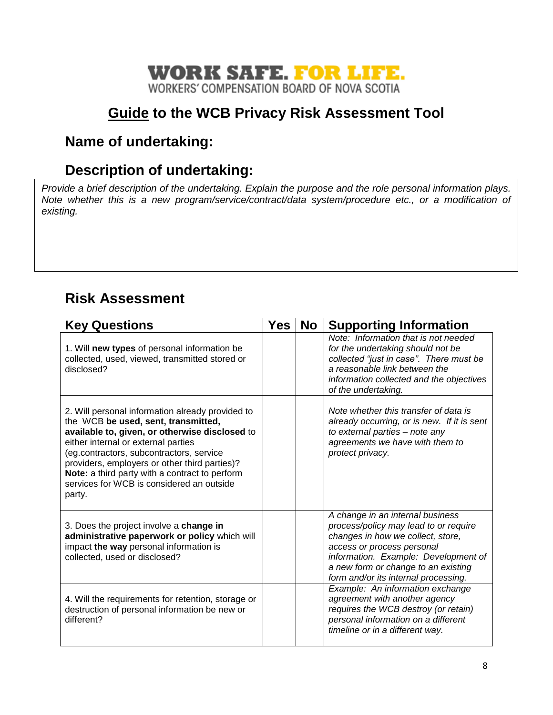## **WORK SAFE. FOR LIFE.** WORKERS' COMPENSATION BOARD OF NOVA SCOTIA

# **Guide to the WCB Privacy Risk Assessment Tool**

# **Name of undertaking:**

# **Description of undertaking:**

*Provide a brief description of the undertaking. Explain the purpose and the role personal information plays. Note whether this is a new program/service/contract/data system/procedure etc., or a modification of existing.* 

# **Risk Assessment**

| <b>Key Questions</b>                                                                                                                                                                                                                                                                                                                                                                   | Yes | No | <b>Supporting Information</b>                                                                                                                                                                                                                                       |
|----------------------------------------------------------------------------------------------------------------------------------------------------------------------------------------------------------------------------------------------------------------------------------------------------------------------------------------------------------------------------------------|-----|----|---------------------------------------------------------------------------------------------------------------------------------------------------------------------------------------------------------------------------------------------------------------------|
| 1. Will new types of personal information be<br>collected, used, viewed, transmitted stored or<br>disclosed?                                                                                                                                                                                                                                                                           |     |    | Note: Information that is not needed<br>for the undertaking should not be<br>collected "just in case". There must be<br>a reasonable link between the<br>information collected and the objectives<br>of the undertaking.                                            |
| 2. Will personal information already provided to<br>the WCB be used, sent, transmitted,<br>available to, given, or otherwise disclosed to<br>either internal or external parties<br>(eg.contractors, subcontractors, service<br>providers, employers or other third parties)?<br>Note: a third party with a contract to perform<br>services for WCB is considered an outside<br>party. |     |    | Note whether this transfer of data is<br>already occurring, or is new. If it is sent<br>to external parties - note any<br>agreements we have with them to<br>protect privacy.                                                                                       |
| 3. Does the project involve a change in<br>administrative paperwork or policy which will<br>impact the way personal information is<br>collected, used or disclosed?                                                                                                                                                                                                                    |     |    | A change in an internal business<br>process/policy may lead to or require<br>changes in how we collect, store,<br>access or process personal<br>information. Example: Development of<br>a new form or change to an existing<br>form and/or its internal processing. |
| 4. Will the requirements for retention, storage or<br>destruction of personal information be new or<br>different?                                                                                                                                                                                                                                                                      |     |    | Example: An information exchange<br>agreement with another agency<br>requires the WCB destroy (or retain)<br>personal information on a different<br>timeline or in a different way.                                                                                 |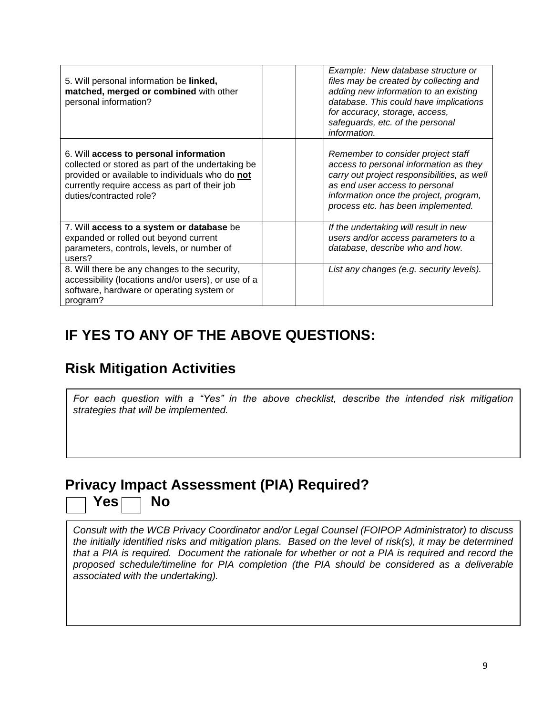| 5. Will personal information be linked,<br>matched, merged or combined with other<br>personal information?                                                                                                                 | Example: New database structure or<br>files may be created by collecting and<br>adding new information to an existing<br>database. This could have implications<br>for accuracy, storage, access,<br>safeguards, etc. of the personal<br>information. |
|----------------------------------------------------------------------------------------------------------------------------------------------------------------------------------------------------------------------------|-------------------------------------------------------------------------------------------------------------------------------------------------------------------------------------------------------------------------------------------------------|
| 6. Will access to personal information<br>collected or stored as part of the undertaking be<br>provided or available to individuals who do not<br>currently require access as part of their job<br>duties/contracted role? | Remember to consider project staff<br>access to personal information as they<br>carry out project responsibilities, as well<br>as end user access to personal<br>information once the project, program,<br>process etc. has been implemented.         |
| 7. Will access to a system or database be<br>expanded or rolled out beyond current<br>parameters, controls, levels, or number of<br>users?                                                                                 | If the undertaking will result in new<br>users and/or access parameters to a<br>database, describe who and how.                                                                                                                                       |
| 8. Will there be any changes to the security,<br>accessibility (locations and/or users), or use of a<br>software, hardware or operating system or<br>program?                                                              | List any changes (e.g. security levels).                                                                                                                                                                                                              |

# **IF YES TO ANY OF THE ABOVE QUESTIONS:**

# **Risk Mitigation Activities**

*For each question with a "Yes" in the above checklist, describe the intended risk mitigation strategies that will be implemented.*

# **Privacy Impact Assessment (PIA) Required?** Yes<sup>n</sup> No

*Consult with the WCB Privacy Coordinator and/or Legal Counsel (FOIPOP Administrator) to discuss the initially identified risks and mitigation plans. Based on the level of risk(s), it may be determined that a PIA is required. Document the rationale for whether or not a PIA is required and record the proposed schedule/timeline for PIA completion (the PIA should be considered as a deliverable associated with the undertaking).*